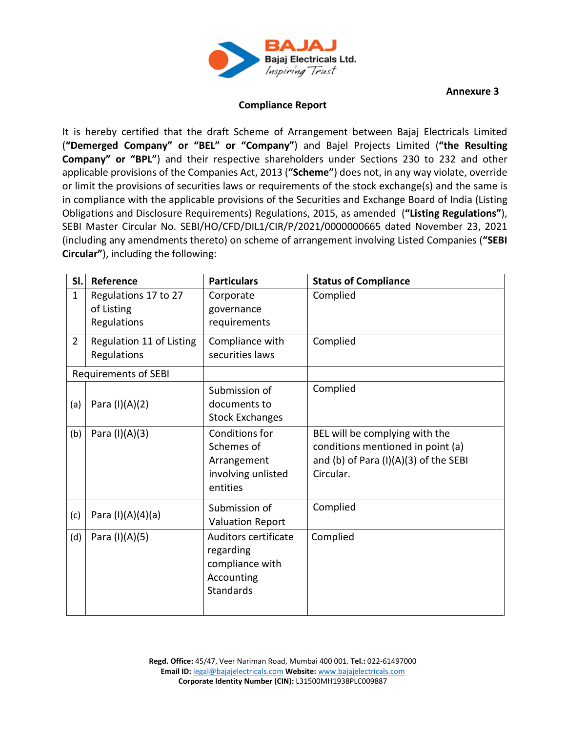

**Annexure 3**

## **Compliance Report**

It is hereby certified that the draft Scheme of Arrangement between Bajaj Electricals Limited (**"Demerged Company" or "BEL" or "Company"**) and Bajel Projects Limited (**"the Resulting Company" or "BPL"**) and their respective shareholders under Sections 230 to 232 and other applicable provisions of the Companies Act, 2013 (**"Scheme"**) does not, in any way violate, override or limit the provisions of securities laws or requirements of the stock exchange(s) and the same is in compliance with the applicable provisions of the Securities and Exchange Board of India (Listing Obligations and Disclosure Requirements) Regulations, 2015, as amended (**"Listing Regulations"**), SEBI Master Circular No. SEBI/HO/CFD/DIL1/CIR/P/2021/0000000665 dated November 23, 2021 (including any amendments thereto) on scheme of arrangement involving Listed Companies (**"SEBI Circular"**), including the following:

| SI.            | Reference                                         | <b>Particulars</b>                                                                     | <b>Status of Compliance</b>                                                                                                 |
|----------------|---------------------------------------------------|----------------------------------------------------------------------------------------|-----------------------------------------------------------------------------------------------------------------------------|
| $\mathbf{1}$   | Regulations 17 to 27<br>of Listing<br>Regulations | Corporate<br>governance<br>requirements                                                | Complied                                                                                                                    |
| $\overline{2}$ | Regulation 11 of Listing<br>Regulations           | Compliance with<br>securities laws                                                     | Complied                                                                                                                    |
|                | <b>Requirements of SEBI</b>                       |                                                                                        |                                                                                                                             |
| (a)            | Para (I)(A)(2)                                    | Submission of<br>documents to<br><b>Stock Exchanges</b>                                | Complied                                                                                                                    |
| (b)            | Para (I)(A)(3)                                    | Conditions for<br>Schemes of<br>Arrangement<br>involving unlisted<br>entities          | BEL will be complying with the<br>conditions mentioned in point (a)<br>and (b) of Para $(I)(A)(3)$ of the SEBI<br>Circular. |
| (c)            | Para (I)(A)(4)(a)                                 | Submission of<br><b>Valuation Report</b>                                               | Complied                                                                                                                    |
| (d)            | Para (I)(A)(5)                                    | Auditors certificate<br>regarding<br>compliance with<br>Accounting<br><b>Standards</b> | Complied                                                                                                                    |